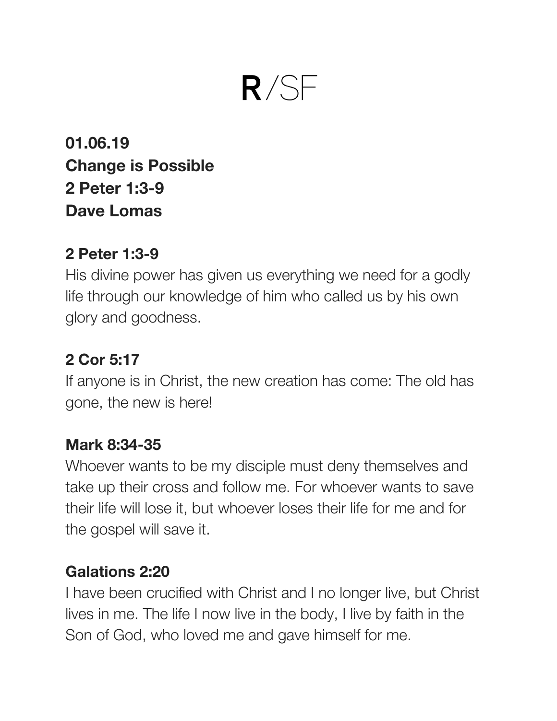# $R/SF$

**01.06.19 Change is Possible 2 Peter 1:3-9 Dave Lomas**

#### **2 Peter 1:3-9**

His divine power has given us everything we need for a godly life through our knowledge of him who called us by his own glory and goodness.

# **2 Cor 5:17**

If anyone is in Christ, the new creation has come: The old has gone, the new is here!

## **Mark 8:34-35**

Whoever wants to be my disciple must deny themselves and take up their cross and follow me. For whoever wants to save their life will lose it, but whoever loses their life for me and for the gospel will save it.

## **Galations 2:20**

I have been crucified with Christ and I no longer live, but Christ lives in me. The life I now live in the body, I live by faith in the Son of God, who loved me and gave himself for me.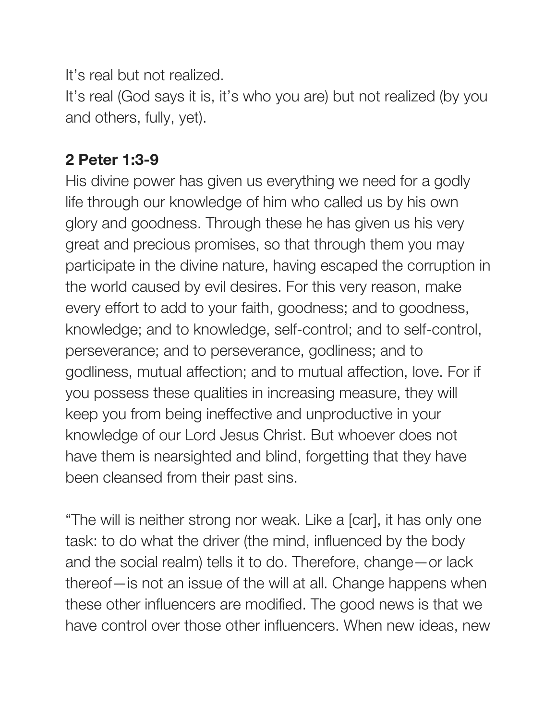It's real but not realized.

It's real (God says it is, it's who you are) but not realized (by you and others, fully, yet).

# **2 Peter 1:3-9**

His divine power has given us everything we need for a godly life through our knowledge of him who called us by his own glory and goodness. Through these he has given us his very great and precious promises, so that through them you may participate in the divine nature, having escaped the corruption in the world caused by evil desires. For this very reason, make every effort to add to your faith, goodness; and to goodness, knowledge; and to knowledge, self-control; and to self-control, perseverance; and to perseverance, godliness; and to godliness, mutual affection; and to mutual affection, love. For if you possess these qualities in increasing measure, they will keep you from being ineffective and unproductive in your knowledge of our Lord Jesus Christ. But whoever does not have them is nearsighted and blind, forgetting that they have been cleansed from their past sins.

"The will is neither strong nor weak. Like a [car], it has only one task: to do what the driver (the mind, influenced by the body and the social realm) tells it to do. Therefore, change—or lack thereof—is not an issue of the will at all. Change happens when these other influencers are modified. The good news is that we have control over those other influencers. When new ideas, new